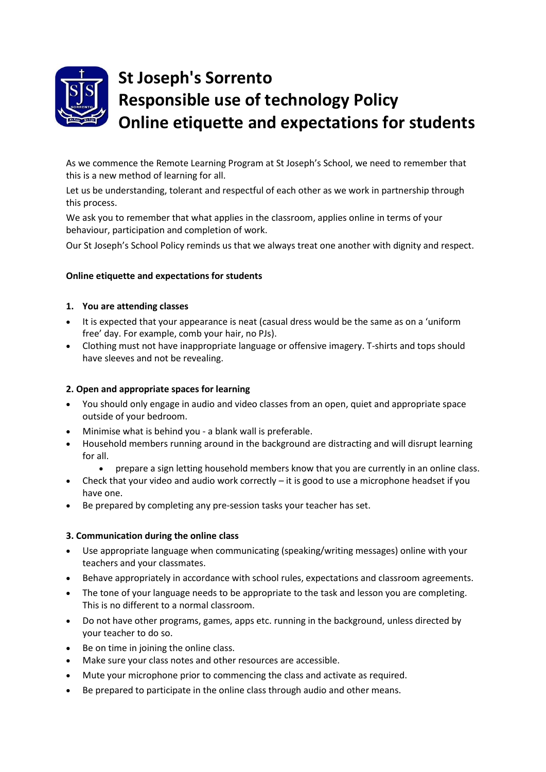

# **St Joseph's Sorrento Responsible use of technology Policy Online etiquette and expectations for students**

As we commence the Remote Learning Program at St Joseph's School, we need to remember that this is a new method of learning for all.

Let us be understanding, tolerant and respectful of each other as we work in partnership through this process.

We ask you to remember that what applies in the classroom, applies online in terms of your behaviour, participation and completion of work.

Our St Joseph's School Policy reminds us that we always treat one another with dignity and respect.

### **Online etiquette and expectations for students**

#### **1. You are attending classes**

- It is expected that your appearance is neat (casual dress would be the same as on a 'uniform free' day. For example, comb your hair, no PJs).
- Clothing must not have inappropriate language or offensive imagery. T-shirts and tops should have sleeves and not be revealing.

#### **2. Open and appropriate spaces for learning**

- You should only engage in audio and video classes from an open, quiet and appropriate space outside of your bedroom.
- Minimise what is behind you a blank wall is preferable.
- Household members running around in the background are distracting and will disrupt learning for all.
	- prepare a sign letting household members know that you are currently in an online class.
- Check that your video and audio work correctly it is good to use a microphone headset if you have one.
- Be prepared by completing any pre-session tasks your teacher has set.

#### **3. Communication during the online class**

- Use appropriate language when communicating (speaking/writing messages) online with your teachers and your classmates.
- Behave appropriately in accordance with school rules, expectations and classroom agreements.
- The tone of your language needs to be appropriate to the task and lesson you are completing. This is no different to a normal classroom.
- Do not have other programs, games, apps etc. running in the background, unless directed by your teacher to do so.
- Be on time in joining the online class.
- Make sure your class notes and other resources are accessible.
- Mute your microphone prior to commencing the class and activate as required.
- Be prepared to participate in the online class through audio and other means.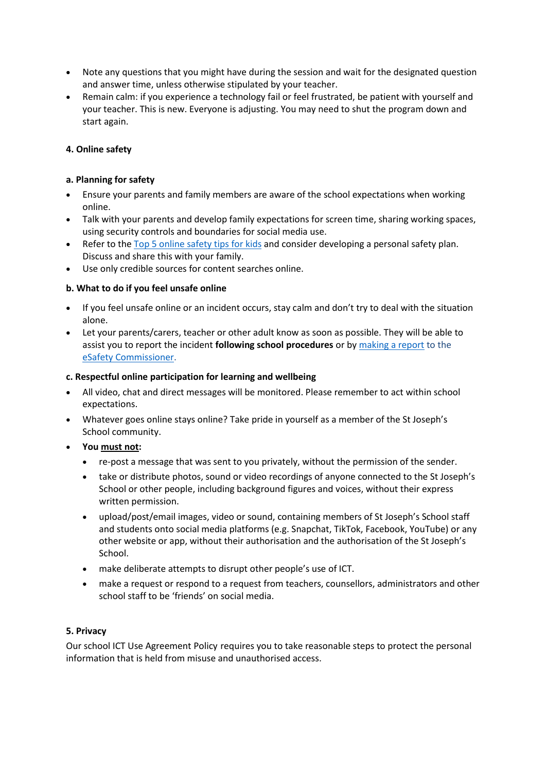- Note any questions that you might have during the session and wait for the designated question and answer time, unless otherwise stipulated by your teacher.
- Remain calm: if you experience a technology fail or feel frustrated, be patient with yourself and your teacher. This is new. Everyone is adjusting. You may need to shut the program down and start again.

# **4. Online safety**

## **a. Planning for safety**

- Ensure your parents and family members are aware of the school expectations when working online.
- Talk with your parents and develop family expectations for screen time, sharing working spaces, using security controls and boundaries for social media use.
- Refer to the [Top 5 online safety tips for kids](https://www.esafety.gov.au/sites/default/files/2020-03/eSafety_Ed%20Kids%20TT%20Poster.pdf) and consider developing a personal safety plan. Discuss and share this with your family.
- Use only credible sources for content searches online.

### **b. What to do if you feel unsafe online**

- If you feel unsafe online or an incident occurs, stay calm and don't try to deal with the situation alone.
- Let your parents/carers, teacher or other adult know as soon as possible. They will be able to assist you to report the incident **following school procedures** or b[y making a report](https://www.esafety.gov.au/report) to the [eSafety Commissioner.](https://www.esafety.gov.au/)

### **c. Respectful online participation for learning and wellbeing**

- All video, chat and direct messages will be monitored. Please remember to act within school expectations.
- Whatever goes online stays online? Take pride in yourself as a member of the St Joseph's School community.

# **You must not:**

- re-post a message that was sent to you privately, without the permission of the sender.
- take or distribute photos, sound or video recordings of anyone connected to the St Joseph's School or other people, including background figures and voices, without their express written permission.
- upload/post/email images, video or sound, containing members of St Joseph's School staff and students onto social media platforms (e.g. Snapchat, TikTok, Facebook, YouTube) or any other website or app, without their authorisation and the authorisation of the St Joseph's School.
- make deliberate attempts to disrupt other people's use of ICT.
- make a request or respond to a request from teachers, counsellors, administrators and other school staff to be 'friends' on social media.

#### **5. Privacy**

Our school ICT Use Agreement Policy requires you to take reasonable steps to protect the personal information that is held from misuse and unauthorised access.